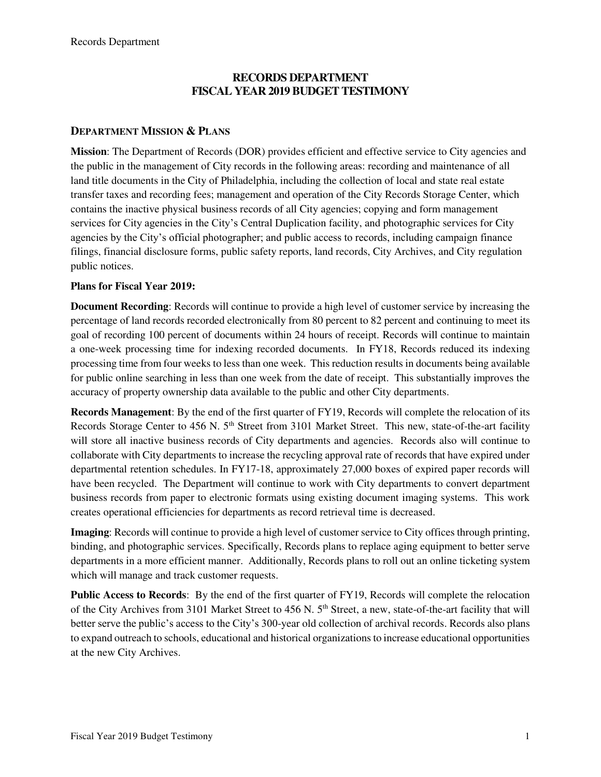# **RECORDS DEPARTMENT FISCAL YEAR 2019 BUDGET TESTIMONY**

## **DEPARTMENT MISSION & PLANS**

**Mission**: The Department of Records (DOR) provides efficient and effective service to City agencies and the public in the management of City records in the following areas: recording and maintenance of all land title documents in the City of Philadelphia, including the collection of local and state real estate transfer taxes and recording fees; management and operation of the City Records Storage Center, which contains the inactive physical business records of all City agencies; copying and form management services for City agencies in the City's Central Duplication facility, and photographic services for City agencies by the City's official photographer; and public access to records, including campaign finance filings, financial disclosure forms, public safety reports, land records, City Archives, and City regulation public notices.

### **Plans for Fiscal Year 2019:**

**Document Recording**: Records will continue to provide a high level of customer service by increasing the percentage of land records recorded electronically from 80 percent to 82 percent and continuing to meet its goal of recording 100 percent of documents within 24 hours of receipt. Records will continue to maintain a one-week processing time for indexing recorded documents. In FY18, Records reduced its indexing processing time from four weeks to less than one week. This reduction results in documents being available for public online searching in less than one week from the date of receipt. This substantially improves the accuracy of property ownership data available to the public and other City departments.

**Records Management**: By the end of the first quarter of FY19, Records will complete the relocation of its Records Storage Center to 456 N. 5<sup>th</sup> Street from 3101 Market Street. This new, state-of-the-art facility will store all inactive business records of City departments and agencies. Records also will continue to collaborate with City departments to increase the recycling approval rate of records that have expired under departmental retention schedules. In FY17-18, approximately 27,000 boxes of expired paper records will have been recycled. The Department will continue to work with City departments to convert department business records from paper to electronic formats using existing document imaging systems. This work creates operational efficiencies for departments as record retrieval time is decreased.

**Imaging**: Records will continue to provide a high level of customer service to City offices through printing, binding, and photographic services. Specifically, Records plans to replace aging equipment to better serve departments in a more efficient manner. Additionally, Records plans to roll out an online ticketing system which will manage and track customer requests.

**Public Access to Records**: By the end of the first quarter of FY19, Records will complete the relocation of the City Archives from 3101 Market Street to 456 N. 5<sup>th</sup> Street, a new, state-of-the-art facility that will better serve the public's access to the City's 300-year old collection of archival records. Records also plans to expand outreach to schools, educational and historical organizations to increase educational opportunities at the new City Archives.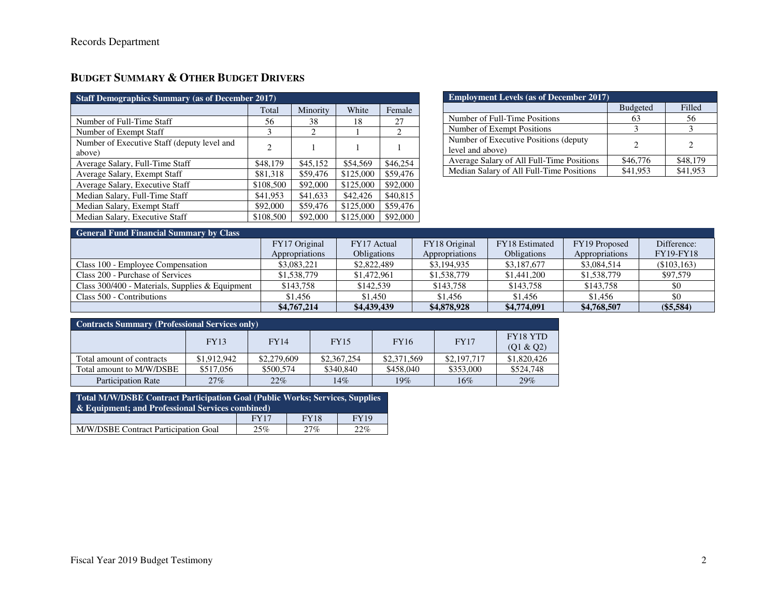# **BUDGET SUMMARY & OTHER BUDGET DRIVERS**

| <b>Staff Demographics Summary (as of December 2017)</b> |           |          |           |          |  |  |  |  |
|---------------------------------------------------------|-----------|----------|-----------|----------|--|--|--|--|
|                                                         | Total     | Minority | White     | Female   |  |  |  |  |
| Number of Full-Time Staff                               | 56        | 38       | 18        | 27       |  |  |  |  |
| Number of Exempt Staff                                  | 3         | 2        |           | 2        |  |  |  |  |
| Number of Executive Staff (deputy level and<br>above)   | 2         |          |           |          |  |  |  |  |
| Average Salary, Full-Time Staff                         | \$48,179  | \$45,152 | \$54,569  | \$46,254 |  |  |  |  |
| Average Salary, Exempt Staff                            | \$81,318  | \$59,476 | \$125,000 | \$59,476 |  |  |  |  |
| Average Salary, Executive Staff                         | \$108,500 | \$92,000 | \$125,000 | \$92,000 |  |  |  |  |
| Median Salary, Full-Time Staff                          | \$41,953  | \$41,633 | \$42,426  | \$40,815 |  |  |  |  |
| Median Salary, Exempt Staff                             | \$92,000  | \$59,476 | \$125,000 | \$59,476 |  |  |  |  |
| Median Salary, Executive Staff                          | \$108,500 | \$92,000 | \$125,000 | \$92,000 |  |  |  |  |

| <b>Employment Levels (as of December 2017)</b>             |                 |          |  |  |  |  |  |  |
|------------------------------------------------------------|-----------------|----------|--|--|--|--|--|--|
|                                                            | <b>Budgeted</b> | Filled   |  |  |  |  |  |  |
| Number of Full-Time Positions                              | 63              | 56       |  |  |  |  |  |  |
| Number of Exempt Positions                                 |                 |          |  |  |  |  |  |  |
| Number of Executive Positions (deputy)<br>level and above) |                 |          |  |  |  |  |  |  |
| Average Salary of All Full-Time Positions                  | \$46,776        | \$48,179 |  |  |  |  |  |  |
| Median Salary of All Full-Time Positions                   | \$41.953        | \$41.953 |  |  |  |  |  |  |

# **General Fund Financial Summary by Class**

|                                                 | FY17 Original  | FY17 Actual        | FY18 Original              | FY18 Estimated     | FY19 Proposed  | Difference:      |
|-------------------------------------------------|----------------|--------------------|----------------------------|--------------------|----------------|------------------|
|                                                 | Appropriations | <b>Obligations</b> | Appropriations             | <b>Obligations</b> | Appropriations | <b>FY19-FY18</b> |
| Class 100 - Employee Compensation               | \$3,083,221    | \$2,822,489        | \$3,194,935<br>\$3,187,677 |                    | \$3,084,514    | (\$103,163)      |
| Class 200 - Purchase of Services                | \$1,538,779    | \$1,472,961        | \$1,538,779                | \$1,441,200        | \$1,538,779    | \$97,579         |
| Class 300/400 - Materials, Supplies & Equipment | \$143,758      | \$142,539          | \$143.758                  | \$143,758          | \$143.758      | \$0              |
| Class 500 - Contributions                       | \$1.456        | \$1,450            | \$1.456                    | \$1.456            | \$1,456        | \$0              |
|                                                 | \$4,767,214    | \$4,439,439        | \$4,878,928                | \$4,774,091        | \$4,768,507    | $(\$5,584)$      |

| <b>Contracts Summary (Professional Services only)</b> |             |             |             |             |             |                       |  |  |  |  |
|-------------------------------------------------------|-------------|-------------|-------------|-------------|-------------|-----------------------|--|--|--|--|
|                                                       | <b>FY13</b> | <b>FY14</b> | <b>FY15</b> | <b>FY16</b> | <b>FY17</b> | FY18 YTD<br>(Q1 & Q2) |  |  |  |  |
| Total amount of contracts                             | \$1,912,942 | \$2,279,609 | \$2,367,254 | \$2,371,569 | \$2,197,717 | \$1,820,426           |  |  |  |  |
| Total amount to M/W/DSBE                              | \$517,056   | \$500,574   | \$340,840   | \$458,040   | \$353,000   | \$524,748             |  |  |  |  |
| <b>Participation Rate</b>                             | 27%         | $22\%$      | $14\%$      | 19%         | $16\%$      | 29%                   |  |  |  |  |

| Total M/W/DSBE Contract Participation Goal (Public Works; Services, Supplies<br>$\&$ Equipment; and Professional Services combined) |     |     |     |  |  |  |  |  |
|-------------------------------------------------------------------------------------------------------------------------------------|-----|-----|-----|--|--|--|--|--|
| <b>FY19</b><br><b>FY18</b><br>FY17                                                                                                  |     |     |     |  |  |  |  |  |
| M/W/DSBE Contract Participation Goal                                                                                                | 25% | 27% | 22% |  |  |  |  |  |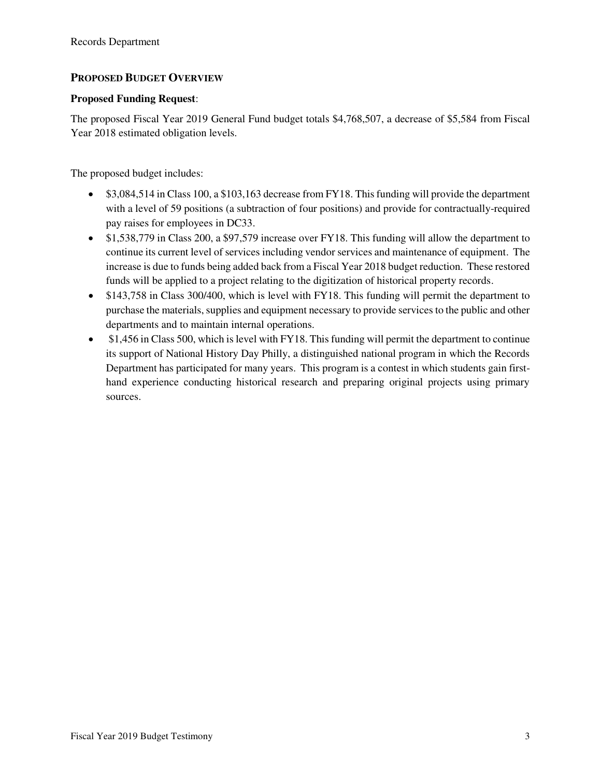# **PROPOSED BUDGET OVERVIEW**

## **Proposed Funding Request**:

The proposed Fiscal Year 2019 General Fund budget totals \$4,768,507, a decrease of \$5,584 from Fiscal Year 2018 estimated obligation levels.

The proposed budget includes:

- \$3,084,514 in Class 100, a \$103,163 decrease from FY18. This funding will provide the department with a level of 59 positions (a subtraction of four positions) and provide for contractually-required pay raises for employees in DC33.
- \$1,538,779 in Class 200, a \$97,579 increase over FY18. This funding will allow the department to continue its current level of services including vendor services and maintenance of equipment. The increase is due to funds being added back from a Fiscal Year 2018 budget reduction. These restored funds will be applied to a project relating to the digitization of historical property records.
- \$143,758 in Class 300/400, which is level with FY18. This funding will permit the department to purchase the materials, supplies and equipment necessary to provide services to the public and other departments and to maintain internal operations.
- \$1,456 in Class 500, which is level with FY18. This funding will permit the department to continue its support of National History Day Philly, a distinguished national program in which the Records Department has participated for many years. This program is a contest in which students gain firsthand experience conducting historical research and preparing original projects using primary sources.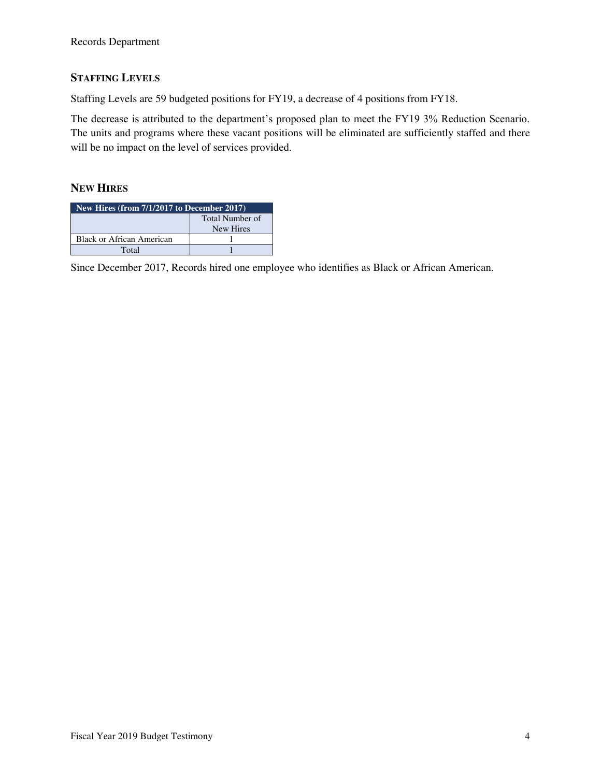# **STAFFING LEVELS**

Staffing Levels are 59 budgeted positions for FY19, a decrease of 4 positions from FY18.

The decrease is attributed to the department's proposed plan to meet the FY19 3% Reduction Scenario. The units and programs where these vacant positions will be eliminated are sufficiently staffed and there will be no impact on the level of services provided.

## **NEW HIRES**

| New Hires (from $7/1/2\overline{017}$ to December 2017) |  |  |  |  |  |  |  |  |
|---------------------------------------------------------|--|--|--|--|--|--|--|--|
| Total Number of<br>New Hires                            |  |  |  |  |  |  |  |  |
| <b>Black or African American</b>                        |  |  |  |  |  |  |  |  |
| Total                                                   |  |  |  |  |  |  |  |  |

Since December 2017, Records hired one employee who identifies as Black or African American.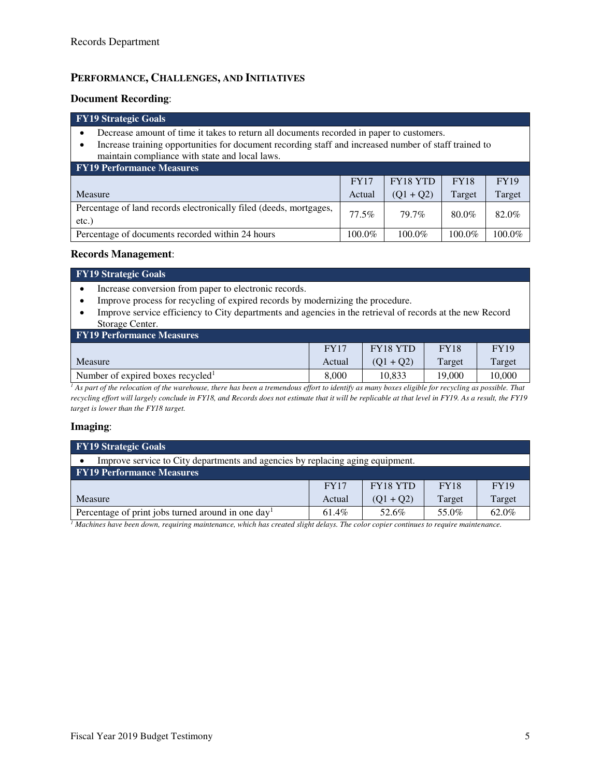## **PERFORMANCE, CHALLENGES, AND INITIATIVES**

#### **Document Recording**:

# **FY19 Strategic Goals**

- Decrease amount of time it takes to return all documents recorded in paper to customers.
- Increase training opportunities for document recording staff and increased number of staff trained to maintain compliance with state and local laws.

| <b>FY19 Performance Measures</b>                                           |             |                 |             |             |  |  |  |  |  |
|----------------------------------------------------------------------------|-------------|-----------------|-------------|-------------|--|--|--|--|--|
|                                                                            | <b>FY17</b> | <b>FY18 YTD</b> | <b>FY18</b> | <b>FY19</b> |  |  |  |  |  |
| Measure                                                                    | Actual      | $(01 + 02)$     | Target      | Target      |  |  |  |  |  |
| Percentage of land records electronically filed (deeds, mortgages,<br>etc. | 77.5%       | 79.7%           | 80.0%       | 82.0%       |  |  |  |  |  |
| Percentage of documents recorded within 24 hours                           | 100.0%      | 100.0%          | 100.0%      | 100.0%      |  |  |  |  |  |

#### **Records Management**:

#### **FY19 Strategic Goals**

- Increase conversion from paper to electronic records.
- Improve process for recycling of expired records by modernizing the procedure.
- Improve service efficiency to City departments and agencies in the retrieval of records at the new Record Storage Center.

| <b>FY19 Performance Measures</b>              |             |                 |             |             |  |  |  |  |  |
|-----------------------------------------------|-------------|-----------------|-------------|-------------|--|--|--|--|--|
|                                               | <b>FY17</b> | <b>FY18 YTD</b> | <b>FY18</b> | <b>FY19</b> |  |  |  |  |  |
| Measure                                       | Actual      | $(O1 + O2)$     | Target      | Target      |  |  |  |  |  |
| Number of expired boxes recycled <sup>1</sup> | 8.000       | 10.833          | 19.000      | 10.000      |  |  |  |  |  |
|                                               |             | .               |             |             |  |  |  |  |  |

<sup>1</sup> As part of the relocation of the warehouse, there has been a tremendous effort to identify as many boxes eligible for recycling as possible. That *recycling effort will largely conclude in FY18, and Records does not estimate that it will be replicable at that level in FY19. As a result, the FY19 target is lower than the FY18 target.*

#### **Imaging**:

| <b>FY19 Strategic Goals</b>                                                    |                                                              |             |        |        |  |  |  |  |  |
|--------------------------------------------------------------------------------|--------------------------------------------------------------|-------------|--------|--------|--|--|--|--|--|
| Improve service to City departments and agencies by replacing aging equipment. |                                                              |             |        |        |  |  |  |  |  |
| <b>FY19 Performance Measures</b>                                               |                                                              |             |        |        |  |  |  |  |  |
|                                                                                | <b>FY18 YTD</b><br><b>FY19</b><br><b>FY18</b><br><b>FY17</b> |             |        |        |  |  |  |  |  |
| Measure                                                                        | Actual                                                       | $(Q1 + Q2)$ | Target | Target |  |  |  |  |  |
| Percentage of print jobs turned around in one day <sup>1</sup>                 | 61.4%                                                        | 52.6%       | 55.0%  | 62.0%  |  |  |  |  |  |

*1 Machines have been down, requiring maintenance, which has created slight delays. The color copier continues to require maintenance.*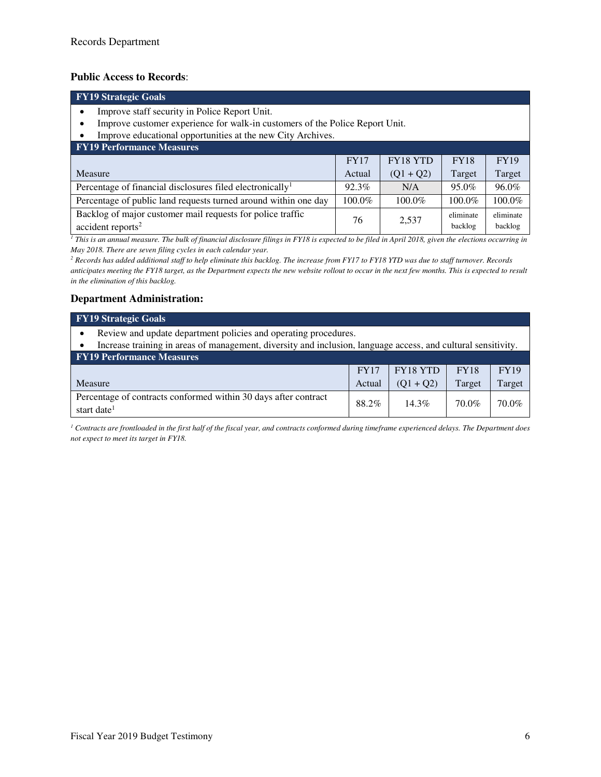#### **Public Access to Records**:

| <b>FY19</b> Strategic Goals                                                                   |                                                              |             |                      |                      |  |  |  |  |  |  |
|-----------------------------------------------------------------------------------------------|--------------------------------------------------------------|-------------|----------------------|----------------------|--|--|--|--|--|--|
| Improve staff security in Police Report Unit.                                                 |                                                              |             |                      |                      |  |  |  |  |  |  |
| Improve customer experience for walk-in customers of the Police Report Unit.                  |                                                              |             |                      |                      |  |  |  |  |  |  |
| Improve educational opportunities at the new City Archives.                                   |                                                              |             |                      |                      |  |  |  |  |  |  |
| <b>FY19 Performance Measures</b>                                                              |                                                              |             |                      |                      |  |  |  |  |  |  |
|                                                                                               | <b>FY18 YTD</b><br><b>FY19</b><br><b>FY18</b><br><b>FY17</b> |             |                      |                      |  |  |  |  |  |  |
| Measure                                                                                       | Actual                                                       | $(Q1 + Q2)$ | Target               | Target               |  |  |  |  |  |  |
| Percentage of financial disclosures filed electronically <sup>1</sup>                         | 92.3%                                                        | N/A         | 95.0%                | 96.0%                |  |  |  |  |  |  |
| Percentage of public land requests turned around within one day                               | 100.0%                                                       | 100.0%      | 100.0%               | 100.0%               |  |  |  |  |  |  |
| Backlog of major customer mail requests for police traffic<br>$accident$ reports <sup>2</sup> | 76                                                           | 2,537       | eliminate<br>backlog | eliminate<br>backlog |  |  |  |  |  |  |

<sup>1</sup> This is an annual measure. The bulk of financial disclosure filings in FY18 is expected to be filed in April 2018, given the elections occurring in *May 2018. There are seven filing cycles in each calendar year.* 

*2 Records has added additional staff to help eliminate this backlog. The increase from FY17 to FY18 YTD was due to staff turnover. Records anticipates meeting the FY18 target, as the Department expects the new website rollout to occur in the next few months. This is expected to result in the elimination of this backlog.*

### **Department Administration:**

| <b>FY19 Strategic Goals</b>                                                                                                                       |                                                              |             |        |        |  |  |  |  |  |
|---------------------------------------------------------------------------------------------------------------------------------------------------|--------------------------------------------------------------|-------------|--------|--------|--|--|--|--|--|
| Review and update department policies and operating procedures.                                                                                   |                                                              |             |        |        |  |  |  |  |  |
| Increase training in areas of management, diversity and inclusion, language access, and cultural sensitivity.<br><b>FY19 Performance Measures</b> |                                                              |             |        |        |  |  |  |  |  |
|                                                                                                                                                   | <b>FY18 YTD</b><br><b>FY19</b><br><b>FY18</b><br><b>FY17</b> |             |        |        |  |  |  |  |  |
| <b>Measure</b>                                                                                                                                    | Actual                                                       | $(Q1 + Q2)$ | Target | Target |  |  |  |  |  |
| Percentage of contracts conformed within 30 days after contract<br>start date <sup>1</sup>                                                        | 88.2%                                                        | $14.3\%$    | 70.0%  | 70.0%  |  |  |  |  |  |

*1 Contracts are frontloaded in the first half of the fiscal year, and contracts conformed during timeframe experienced delays. The Department does not expect to meet its target in FY18.*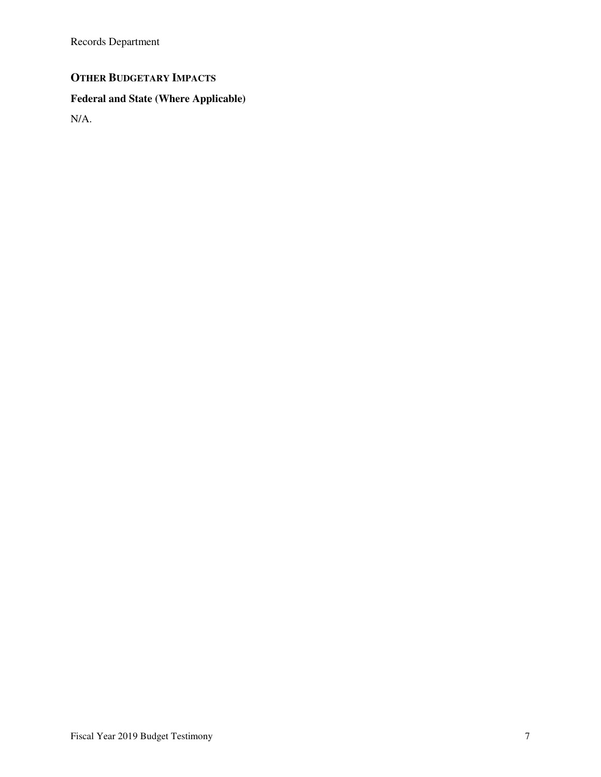Records Department

# **OTHER BUDGETARY IMPACTS**

# **Federal and State (Where Applicable)**

N/A.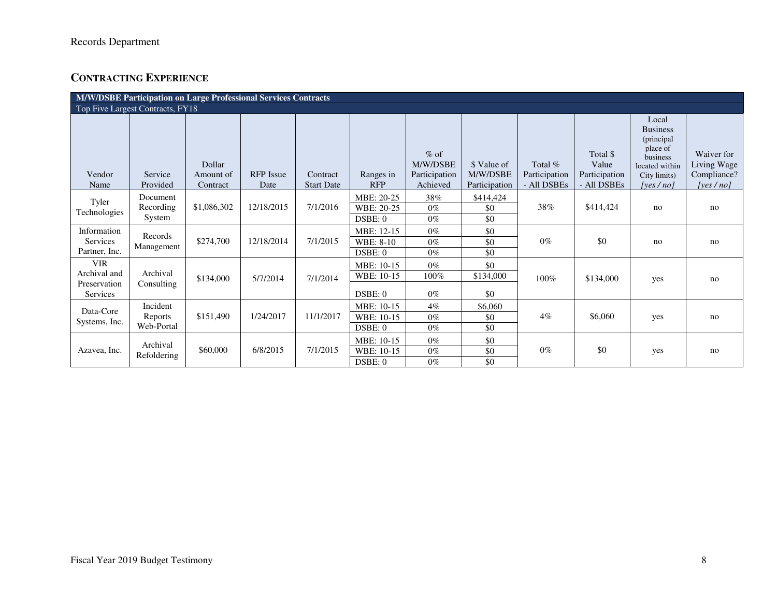# **CONTRACTING EXPERIENCE**

| <b>M/W/DSBE Participation on Large Professional Services Contracts</b> |                                   |                                 |                          |                               |                                     |                                                 |                                          |                                         |                                                   |                                                                                                                          |                                                      |
|------------------------------------------------------------------------|-----------------------------------|---------------------------------|--------------------------|-------------------------------|-------------------------------------|-------------------------------------------------|------------------------------------------|-----------------------------------------|---------------------------------------------------|--------------------------------------------------------------------------------------------------------------------------|------------------------------------------------------|
| Top Five Largest Contracts, FY18                                       |                                   |                                 |                          |                               |                                     |                                                 |                                          |                                         |                                                   |                                                                                                                          |                                                      |
| Vendor<br>Name                                                         | Service<br>Provided               | Dollar<br>Amount of<br>Contract | <b>RFP</b> Issue<br>Date | Contract<br><b>Start Date</b> | Ranges in<br><b>RFP</b>             | $%$ of<br>M/W/DSBE<br>Participation<br>Achieved | \$ Value of<br>M/W/DSBE<br>Participation | Total %<br>Participation<br>- All DSBEs | Total \$<br>Value<br>Participation<br>- All DSBEs | Local<br><b>Business</b><br>(principal)<br>place of<br><b>business</b><br>located within<br>City limits)<br>[yes $/no$ ] | Waiver for<br>Living Wage<br>Compliance?<br>[yes/no] |
| Tyler<br>Technologies                                                  | Document<br>Recording<br>System   | \$1,086,302                     | 12/18/2015               | 7/1/2016                      | MBE: 20-25<br>WBE: 20-25<br>DSBE: 0 | 38%<br>$0\%$<br>$0\%$                           | \$414,424<br>\$0<br>\$0                  | 38%                                     | \$414,424                                         | no                                                                                                                       | no                                                   |
| Information<br><b>Services</b><br>Partner, Inc.                        | Records<br>Management             | \$274,700                       | 12/18/2014               | 7/1/2015                      | MBE: 12-15<br>WBE: 8-10<br>DSBE: 0  | $0\%$<br>$0\%$<br>$0\%$                         | \$0<br>\$0<br>\$0                        | $0\%$                                   | \$0                                               | no                                                                                                                       | no                                                   |
| <b>VIR</b><br>Archival and<br>Preservation<br>Services                 | Archival<br>Consulting            | \$134,000                       | 5/7/2014                 | 7/1/2014                      | MBE: 10-15<br>WBE: 10-15<br>DSBE: 0 | $0\%$<br>100%<br>$0\%$                          | \$0<br>\$134,000<br>\$0                  | 100%                                    | \$134,000                                         | yes                                                                                                                      | no                                                   |
| Data-Core<br>Systems, Inc.                                             | Incident<br>Reports<br>Web-Portal | \$151,490                       | 1/24/2017                | 11/1/2017                     | MBE: 10-15<br>WBE: 10-15<br>DSBE: 0 | $4\%$<br>$0\%$<br>$0\%$                         | \$6,060<br>\$0<br>\$0                    | $4\%$                                   | \$6,060                                           | yes                                                                                                                      | no                                                   |
| Azavea, Inc.                                                           | Archival<br>Refoldering           | \$60,000                        | 6/8/2015                 | 7/1/2015                      | MBE: 10-15<br>WBE: 10-15<br>DSBE: 0 | $0\%$<br>$0\%$<br>$0\%$                         | \$0<br>\$0<br>\$0                        | $0\%$                                   | \$0                                               | yes                                                                                                                      | no                                                   |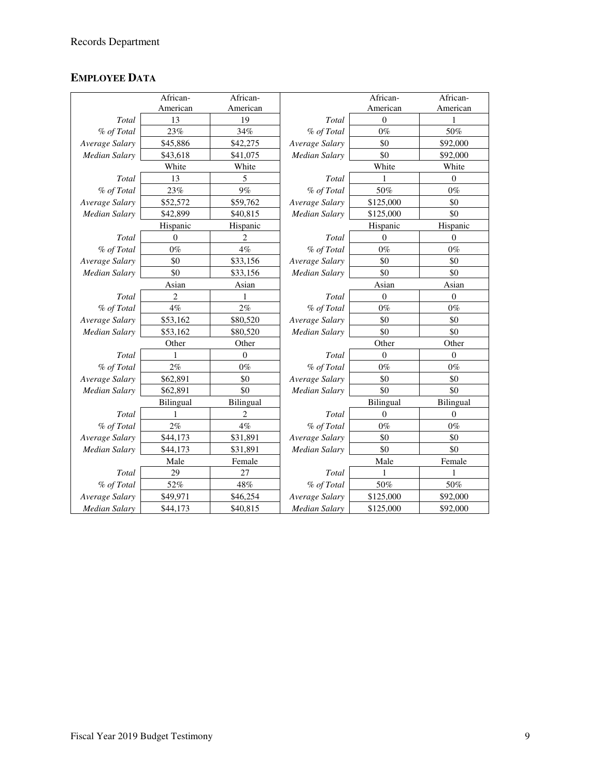# **EMPLOYEE DATA**

|                      | African-       | African-       |                      | African-       | African-       |
|----------------------|----------------|----------------|----------------------|----------------|----------------|
|                      | American       | American       |                      | American       | American       |
| Total                | 13             | 19             | Total                | $\theta$       |                |
| % of Total           | 23%            | 34%            | % of Total           | $0\%$          | 50%            |
| Average Salary       | \$45,886       | \$42,275       | Average Salary       | \$0            | \$92,000       |
| <b>Median Salary</b> | \$43,618       | \$41,075       | <b>Median Salary</b> | \$0            | \$92,000       |
|                      | White          | White          |                      | White          | White          |
| Total                | 13             | 5              | Total                |                | $\theta$       |
| % of Total           | 23%            | 9%             | % of Total           | 50%            | $0\%$          |
| Average Salary       | \$52,572       | \$59,762       | Average Salary       | \$125,000      | \$0            |
| <b>Median Salary</b> | \$42,899       | \$40,815       | Median Salary        | \$125,000      | \$0            |
|                      | Hispanic       | Hispanic       |                      | Hispanic       | Hispanic       |
| Total                | $\theta$       | 2              | Total                | $\Omega$       | $\mathbf{0}$   |
| % of Total           | $0\%$          | 4%             | % of Total           | $0\%$          | $0\%$          |
| Average Salary       | \$0            | \$33,156       | Average Salary       | \$0            | \$0            |
| <b>Median Salary</b> | \$0            | \$33,156       | <b>Median Salary</b> | \$0            | \$0            |
| Asian<br>Asian       |                | Asian<br>Asian |                      |                |                |
| Total                | $\overline{c}$ |                | Total                | $\overline{0}$ | 0              |
| % of Total           | $4\%$          | 2%             | % of Total           | $0\%$          | $0\%$          |
| Average Salary       | \$53,162       | \$80,520       | Average Salary       | \$0            | \$0            |
| <b>Median Salary</b> | \$53,162       | \$80,520       | <b>Median Salary</b> | \$0            | \$0            |
|                      | Other          | Other          |                      | Other          | Other          |
| Total                | 1              | $\theta$       | Total                | $\Omega$       | $\overline{0}$ |
| % of Total           | $2\%$          | $0\%$          | % of Total           | $0\%$          | $0\%$          |
| Average Salary       | \$62,891       | \$0            | Average Salary       | \$0            | \$0            |
| <b>Median Salary</b> | \$62,891       | \$0            | <b>Median Salary</b> | \$0            | \$0            |
|                      | Bilingual      | Bilingual      |                      | Bilingual      | Bilingual      |
| Total                |                | 2              | Total                | $\theta$       | $\mathbf{0}$   |
| % of Total           | $2\%$          | $4\%$          | % of Total           | $0\%$          | $0\%$          |
| Average Salary       | \$44,173       | \$31,891       | Average Salary       | \$0            | \$0            |
| <b>Median Salary</b> | \$44,173       | \$31,891       | Median Salary        | \$0            | \$0            |
| Male<br>Female       |                | Male<br>Female |                      |                |                |
| Total                | 29             | 27             | Total                |                |                |
| % of Total           | 52%            | 48%            | % of Total           | 50%            | $50\%$         |
| Average Salary       | \$49,971       | \$46,254       | Average Salary       | \$125,000      | \$92,000       |
| <b>Median Salary</b> | \$44,173       | \$40,815       | Median Salary        | \$125,000      | \$92,000       |